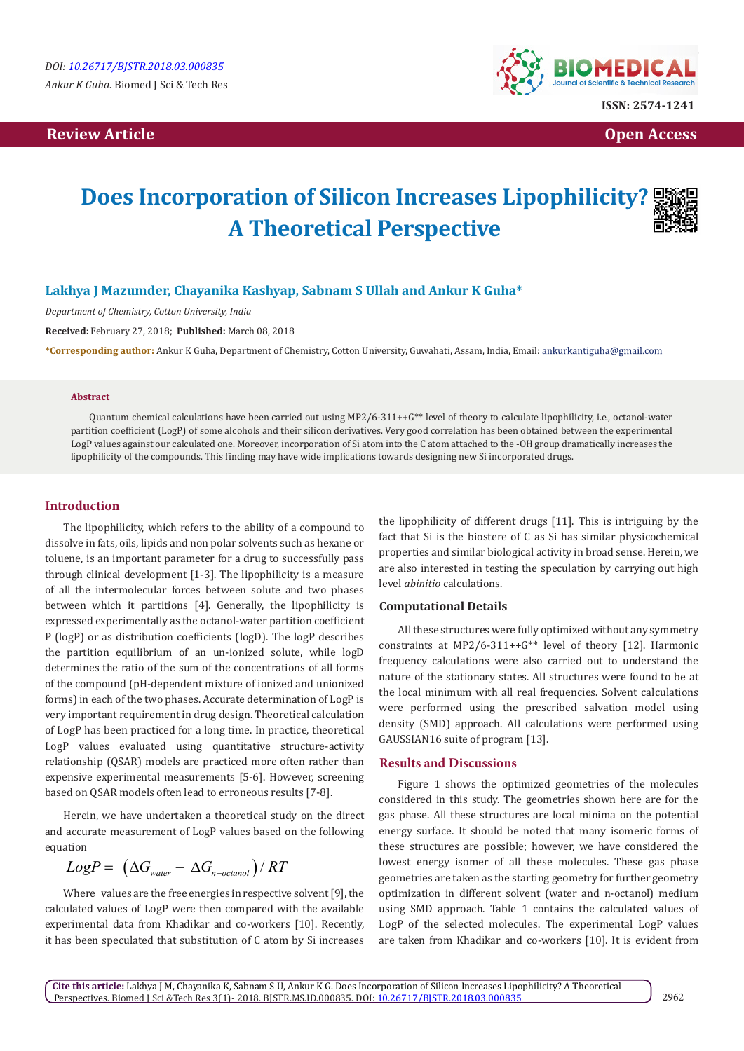# **Review Article Contract Contract Contract Contract Contract Contract Contract Contract Contract Contract Contract Contract Contract Contract Contract Contract Contract Contract Contract Contract Contract Contract Contract**



# **Does Incorporation of Silicon Increases Lipophilicity? A Theoretical Perspective**

## **Lakhya J Mazumder, Chayanika Kashyap, Sabnam S Ullah and Ankur K Guha\***

*Department of Chemistry, Cotton University, India*

**Received:** February 27, 2018; **Published:** March 08, 2018

**\*Corresponding author:** Ankur K Guha, Department of Chemistry, Cotton University, Guwahati, Assam, India, Email:

#### **Abstract**

Quantum chemical calculations have been carried out using MP2/6-311++ $G^{**}$  level of theory to calculate lipophilicity, i.e., octanol-water partition coefficient (LogP) of some alcohols and their silicon derivatives. Very good correlation has been obtained between the experimental LogP values against our calculated one. Moreover, incorporation of Si atom into the C atom attached to the -OH group dramatically increases the lipophilicity of the compounds. This finding may have wide implications towards designing new Si incorporated drugs.

## **Introduction**

The lipophilicity, which refers to the ability of a compound to dissolve in fats, oils, lipids and non polar solvents such as hexane or toluene, is an important parameter for a drug to successfully pass through clinical development [1-3]. The lipophilicity is a measure of all the intermolecular forces between solute and two phases between which it partitions [4]. Generally, the lipophilicity is expressed experimentally as the octanol-water partition coefficient P (logP) or as distribution coefficients (logD). The logP describes the partition equilibrium of an un-ionized solute, while logD determines the ratio of the sum of the concentrations of all forms of the compound (pH-dependent mixture of ionized and unionized forms) in each of the two phases. Accurate determination of LogP is very important requirement in drug design. Theoretical calculation of LogP has been practiced for a long time. In practice, theoretical LogP values evaluated using quantitative structure-activity relationship (QSAR) models are practiced more often rather than expensive experimental measurements [5-6]. However, screening based on QSAR models often lead to erroneous results [7-8].

Herein, we have undertaken a theoretical study on the direct and accurate measurement of LogP values based on the following equation

$$
LogP = (\Delta G_{\text{water}} - \Delta G_{\text{n-octanol}})/RT
$$

Where values are the free energies in respective solvent [9], the calculated values of LogP were then compared with the available experimental data from Khadikar and co-workers [10]. Recently, it has been speculated that substitution of C atom by Si increases

the lipophilicity of different drugs [11]. This is intriguing by the fact that Si is the biostere of C as Si has similar physicochemical properties and similar biological activity in broad sense. Herein, we are also interested in testing the speculation by carrying out high level *abinitio* calculations.

### **Computational Details**

All these structures were fully optimized without any symmetry constraints at MP2/6-311++G\*\* level of theory [12]. Harmonic frequency calculations were also carried out to understand the nature of the stationary states. All structures were found to be at the local minimum with all real frequencies. Solvent calculations were performed using the prescribed salvation model using density (SMD) approach. All calculations were performed using GAUSSIAN16 suite of program [13].

#### **Results and Discussions**

Figure 1 shows the optimized geometries of the molecules considered in this study. The geometries shown here are for the gas phase. All these structures are local minima on the potential energy surface. It should be noted that many isomeric forms of these structures are possible; however, we have considered the lowest energy isomer of all these molecules. These gas phase geometries are taken as the starting geometry for further geometry optimization in different solvent (water and n-octanol) medium using SMD approach. Table 1 contains the calculated values of LogP of the selected molecules. The experimental LogP values are taken from Khadikar and co-workers [10]. It is evident from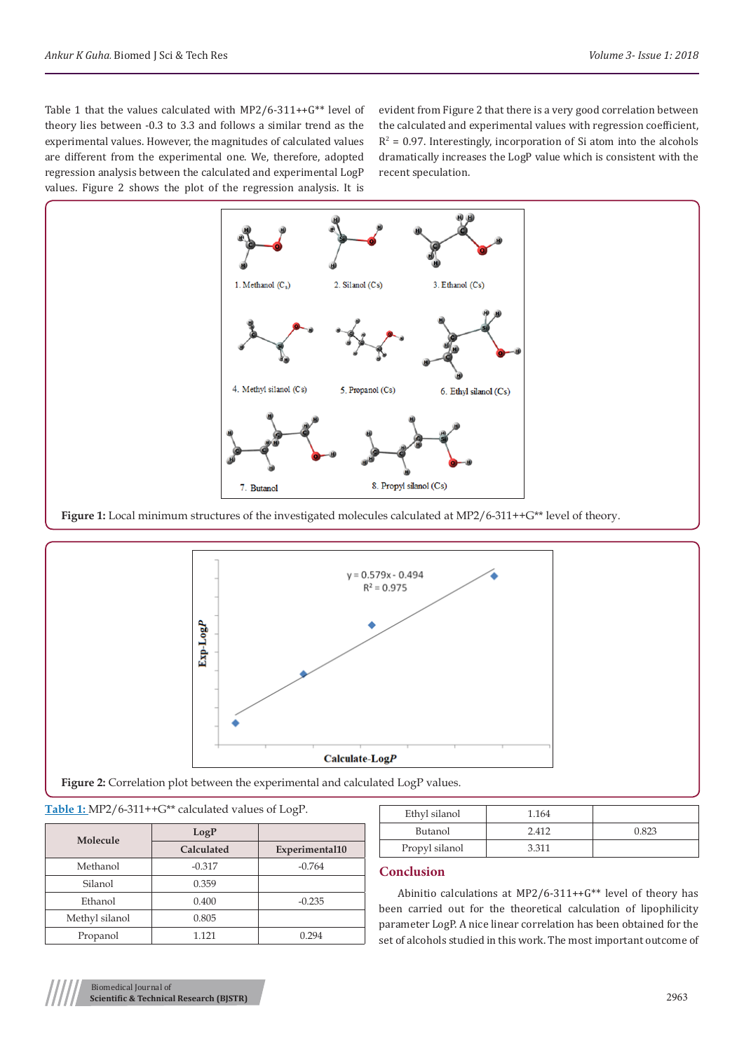Table 1 that the values calculated with MP2/6-311++G\*\* level of theory lies between -0.3 to 3.3 and follows a similar trend as the experimental values. However, the magnitudes of calculated values are different from the experimental one. We, therefore, adopted regression analysis between the calculated and experimental LogP values. Figure 2 shows the plot of the regression analysis. It is

evident from Figure 2 that there is a very good correlation between the calculated and experimental values with regression coefficient,  $R^2$  = 0.97. Interestingly, incorporation of Si atom into the alcohols dramatically increases the LogP value which is consistent with the recent speculation.



Figure 1: Local minimum structures of the investigated molecules calculated at MP2/6-311++G\*\* level of theory.



Figure 2: Correlation plot between the experimental and calculated LogP values.

#### **Table 1:** MP2/6-311++G\*\* calculated values of LogP.

| Molecule       | LogP       |                |
|----------------|------------|----------------|
|                | Calculated | Experimental10 |
| Methanol       | $-0.317$   | $-0.764$       |
| Silanol        | 0.359      |                |
| Ethanol        | 0.400      | $-0.235$       |
| Methyl silanol | 0.805      |                |
| Propanol       | 1 1 2 1    | 0.294          |

| Ethyl silanol  | 1.164 |       |
|----------------|-------|-------|
| Butanol        | 2412  | 0.823 |
| Propyl silanol | 3.311 |       |

# **Conclusion**

Abinitio calculations at MP2/6-311++G\*\* level of theory has been carried out for the theoretical calculation of lipophilicity parameter LogP. A nice linear correlation has been obtained for the set of alcohols studied in this work. The most important outcome of